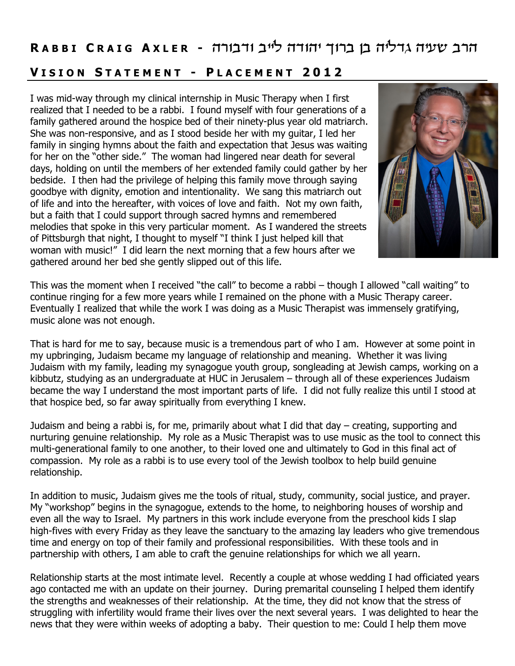## **RABBICRAIG AXLER** - הרב שעיה גדליה בן ברוך יהודה לייב ודבורה

## **V I S I O N S T A T E M E N T - P L A C E M E N T 2 0 1 2**

I was mid-way through my clinical internship in Music Therapy when I first realized that I needed to be a rabbi. I found myself with four generations of a family gathered around the hospice bed of their ninety-plus year old matriarch. She was non-responsive, and as I stood beside her with my guitar, I led her family in singing hymns about the faith and expectation that Jesus was waiting for her on the "other side." The woman had lingered near death for several days, holding on until the members of her extended family could gather by her bedside. I then had the privilege of helping this family move through saying goodbye with dignity, emotion and intentionality. We sang this matriarch out of life and into the hereafter, with voices of love and faith. Not my own faith, but a faith that I could support through sacred hymns and remembered melodies that spoke in this very particular moment. As I wandered the streets of Pittsburgh that night, I thought to myself "I think I just helped kill that woman with music!" I did learn the next morning that a few hours after we gathered around her bed she gently slipped out of this life.



This was the moment when I received "the call" to become a rabbi – though I allowed "call waiting" to continue ringing for a few more years while I remained on the phone with a Music Therapy career. Eventually I realized that while the work I was doing as a Music Therapist was immensely gratifying, music alone was not enough.

That is hard for me to say, because music is a tremendous part of who I am. However at some point in my upbringing, Judaism became my language of relationship and meaning. Whether it was living Judaism with my family, leading my synagogue youth group, songleading at Jewish camps, working on a kibbutz, studying as an undergraduate at HUC in Jerusalem – through all of these experiences Judaism became the way I understand the most important parts of life. I did not fully realize this until I stood at that hospice bed, so far away spiritually from everything I knew.

Judaism and being a rabbi is, for me, primarily about what I did that day – creating, supporting and nurturing genuine relationship. My role as a Music Therapist was to use music as the tool to connect this multi-generational family to one another, to their loved one and ultimately to God in this final act of compassion. My role as a rabbi is to use every tool of the Jewish toolbox to help build genuine relationship.

In addition to music, Judaism gives me the tools of ritual, study, community, social justice, and prayer. My "workshop" begins in the synagogue, extends to the home, to neighboring houses of worship and even all the way to Israel. My partners in this work include everyone from the preschool kids I slap high-fives with every Friday as they leave the sanctuary to the amazing lay leaders who give tremendous time and energy on top of their family and professional responsibilities. With these tools and in partnership with others, I am able to craft the genuine relationships for which we all yearn.

Relationship starts at the most intimate level. Recently a couple at whose wedding I had officiated years ago contacted me with an update on their journey. During premarital counseling I helped them identify the strengths and weaknesses of their relationship. At the time, they did not know that the stress of struggling with infertility would frame their lives over the next several years. I was delighted to hear the news that they were within weeks of adopting a baby. Their question to me: Could I help them move